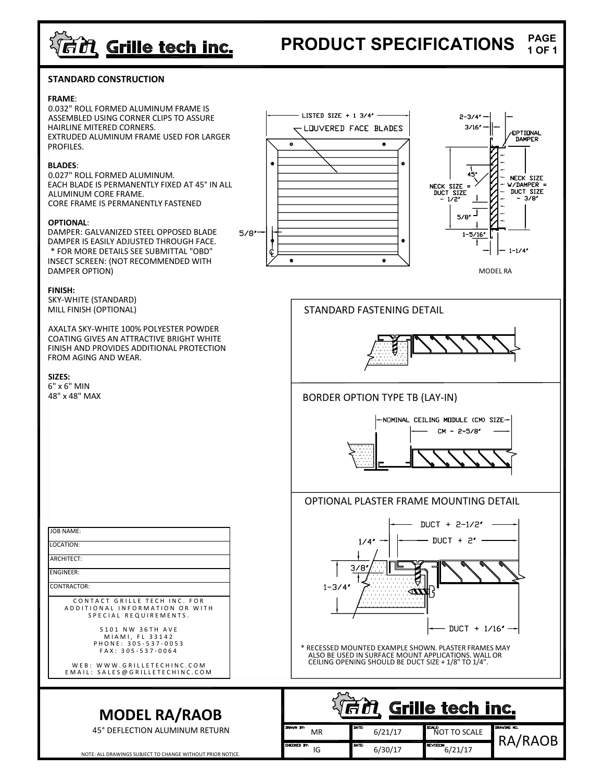# <u>्तिंगे Grille tech inc.</u>

#### PRODUCT SPECIFICATIONS PAGE 1 OF 1

### STANDARD CONSTRUCTION

#### FRAME:

0.032" ROLL FORMED ALUMINUM FRAME IS<br>ASSEMBLED USING CORNER GURS TO ASSURE THE THE LISTED SIZE + 1 3/4' ASSEMBLED USING CORNER CLIPS TO ASSURE HAIRLINE MITERED CORNERS. EXTRUDED ALUMINUM FRAME USED FOR LARGER<br>REQUIRER PROFILES.

#### BLADES:

0.027" ROLL FORMED ALUMINUM. EACH BLADE IS PERMANENTLY FIXED AT 45° IN ALL ALUMINUM CORE FRAME. CORE FRAME IS PERMANENTLY FASTENED

#### OPTIONAL:

DAMPER: GALVANIZED STEEL OPPOSED BLADE 5/8" DAMPER IS EASILY ADJUSTED THROUGH FACE. \* FOR MORE DETAILS SEE SUBMITTAL "OBD"  $\Big|\oint \Big| \Big| \Big|$ INSECT SCREEN: (NOT RECOMMENDED WITH DAMPER OPTION)

#### FINISH:

SKY-WHITE (STANDARD) MILL FINISH (OPTIONAL)

AXALTA SKY-WHITE 100% POLYESTER POWDER COATING GIVES AN ATTRACTIVE BRIGHT WHITE FINISH AND PROVIDES ADDITIONAL PROTECTION FROM AGING AND WEAR.

SIZES: 6" x 6" MIN 48" x 48" MAX

| <b>ROM AGING AND WEAR.</b><br>SIZES:                                                                                                                                                                                                                                                                                                | $\cdots$ $\nabla$                                                                                                                                                                                                                                                           |  |  |  |  |  |  |
|-------------------------------------------------------------------------------------------------------------------------------------------------------------------------------------------------------------------------------------------------------------------------------------------------------------------------------------|-----------------------------------------------------------------------------------------------------------------------------------------------------------------------------------------------------------------------------------------------------------------------------|--|--|--|--|--|--|
| 5" x 6" MIN<br>48" x 48" MAX                                                                                                                                                                                                                                                                                                        | <b>BORDER OPTION TYPE TB (LAY-IN)</b><br>NOMINAL CEILING MODULE (CM) SIZE-<br>$CM - 2 - 5/8'$                                                                                                                                                                               |  |  |  |  |  |  |
|                                                                                                                                                                                                                                                                                                                                     | OPTIONAL PLASTER FRAME MOUNTING DETAIL                                                                                                                                                                                                                                      |  |  |  |  |  |  |
| <b>JOB NAME:</b><br>LOCATION:<br>ARCHITECT:<br><b>ENGINEER:</b><br><b>CONTRACTOR:</b><br>CONTACT GRILLE TECH INC. FOR<br>ADDITIONAL INFORMATION OR WITH<br>SPECIAL REQUIREMENTS.<br>5101 NW 36TH AVE<br>MIAMI, FL 33142<br>PHONE: 305-537-0053<br>FAX: 305-537-0064<br>WEB: WWW.GRILLETECHINC.COM<br>EMAIL: SALES@GRILLETECHINC.COM | DUCT + $2-1/2''$<br>DUCT + $2^{\prime}$<br>1/4''<br>3/8<br>$1 - 3/4'$<br>- DUCT + 1/16 <b>″ ---</b>  <br>* RECESSED MOUNTED EXAMPLE SHOWN. PLASTER FRAMES MAY<br>ALSO BE USED IN SURFACE MOUNT APPLICATIONS. WALL OR<br>CEILING OPENING SHOULD BE DUCT SIZE + 1/8" TO 1/4". |  |  |  |  |  |  |
| <b>MODEL RA/RAOB</b><br>45° DEFLECTION ALUMINUM RETURN                                                                                                                                                                                                                                                                              | Grille tech inc.<br>DRAWN BY:<br>DRAWING ND.<br>DATE<br>SCALE<br>6/21/17<br><b>NOT TO SCALE</b><br>MR<br>RA/R                                                                                                                                                               |  |  |  |  |  |  |





MODEL RA

STANDARD FASTENING DETAIL



## BORDER OPTION TYPE TB (LAY-IN)



### OPTIONAL PLASTER FRAME MOUNTING DETAIL